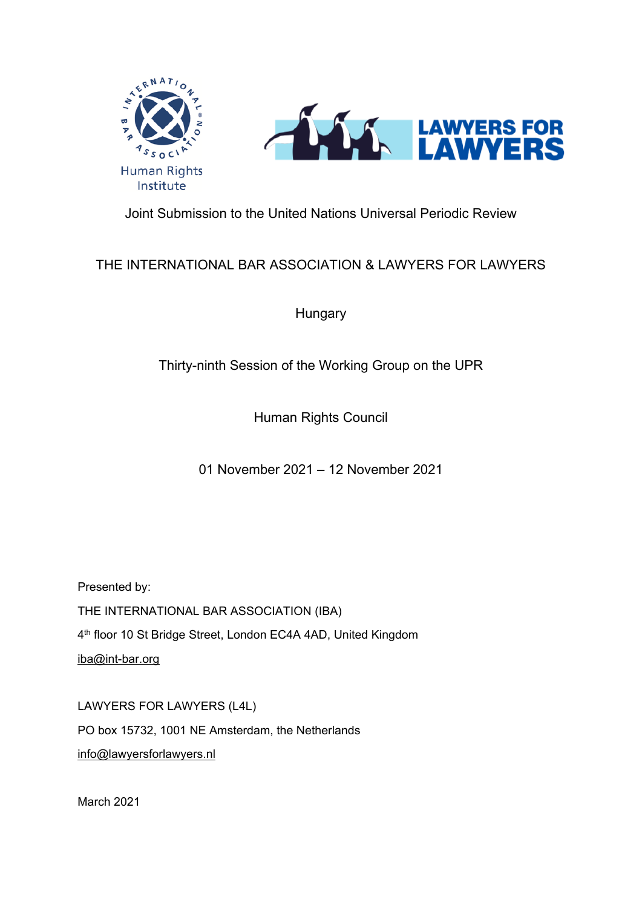

Joint Submission to the United Nations Universal Periodic Review

# THE INTERNATIONAL BAR ASSOCIATION & LAWYERS FOR LAWYERS

**Hungary** 

# Thirty-ninth Session of the Working Group on the UPR

Human Rights Council

01 November 2021 – 12 November 2021

Presented by:

THE INTERNATIONAL BAR ASSOCIATION (IBA) 4<sup>th</sup> floor 10 St Bridge Street, London EC4A 4AD, United Kingdom [iba@int-bar.org](mailto:iba@int-bar.org)

LAWYERS FOR LAWYERS (L4L) PO box 15732, 1001 NE Amsterdam, the Netherlands [info@lawyersforlawyers.nl](mailto:info@lawyersforlawyers.nl)

March 2021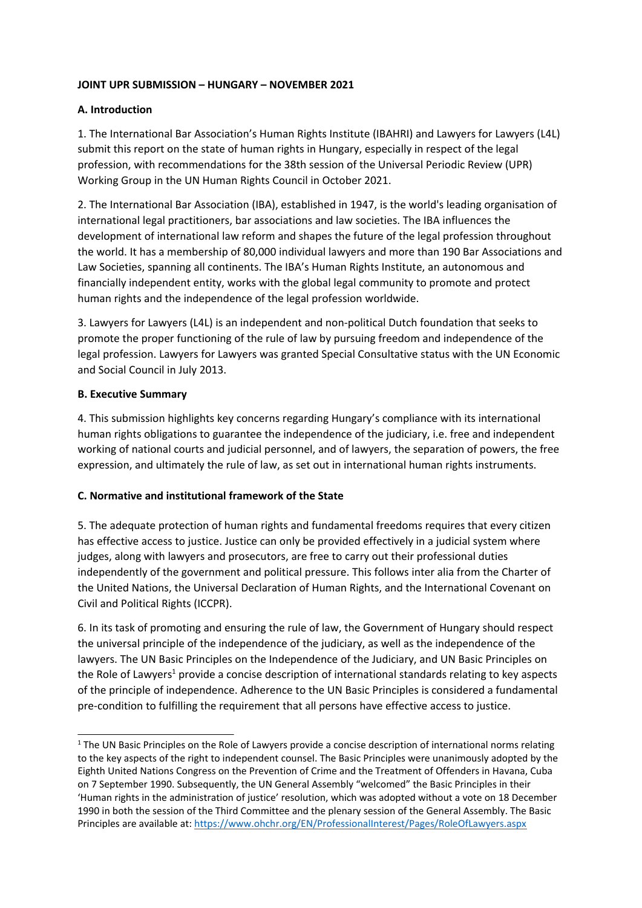#### **JOINT UPR SUBMISSION – HUNGARY – NOVEMBER 2021**

#### **A. Introduction**

1. The International Bar Association'<sup>s</sup> Human Rights Institute (IBAHRI) and Lawyers for Lawyers (L4L) submit this report on the state of human rights in Hungary, especially in respect of the legal profession, with recommendations for the 38th session of the Universal Periodic Review (UPR) Working Group in the UN Human Rights Council in October 2021.

2. The International Bar Association (IBA), established in 1947, is the world's leading organisation of international legal practitioners, bar associations and law societies. The IBA influences the development of international law reform and shapes the future of the legal profession throughout the world. It has <sup>a</sup> membership of 80,000 individual lawyers and more than 190 Bar Associations and Law Societies, spanning all continents. The IBA'<sup>s</sup> Human Rights Institute, an autonomous and financially independent entity, works with the global legal community to promote and protect human rights and the independence of the legal profession worldwide.

3. Lawyers for Lawyers (L4L) is an independent and non-political Dutch foundation that seeks to promote the proper functioning of the rule of law by pursuing freedom and independence of the legal profession. Lawyers for Lawyers was granted Special Consultative status with the UN Economic and Social Council in July 2013.

#### **B. Executive Summary**

4. This submission highlights key concerns regarding Hungary'<sup>s</sup> compliance with its international human rights obligations to guarantee the independence of the judiciary, i.e. free and independent working of national courts and judicial personnel, and of lawyers, the separation of powers, the free expression, and ultimately the rule of law, as set out in international human rights instruments.

### **C. Normative and institutional framework of the State**

5. The adequate protection of human rights and fundamental freedoms requires that every citizen has effective access to justice. Justice can only be provided effectively in <sup>a</sup> judicial system where judges, along with lawyers and prosecutors, are free to carry out their professional duties independently of the government and political pressure. This follows inter alia from the Charter of the United Nations, the Universal Declaration of Human Rights, and the International Covenant on Civil and Political Rights (ICCPR).

6. In its task of promoting and ensuring the rule of law, the Government of Hungary should respect the universal principle of the independence of the judiciary, as well as the independence of the lawyers. The UN Basic Principles on the Independence of the Judiciary, and UN Basic Principles on the Role of Lawyers<sup>1</sup> provide a concise description of international standards relating to key aspects of the principle of independence. Adherence to the UN Basic Principles is considered <sup>a</sup> fundamental pre-condition to fulfilling the requirement that all persons have effective access to justice.

<sup>1</sup> The UN Basic Principles on the Role of Lawyers provide <sup>a</sup> concise description of international norms relating to the key aspects of the right to independent counsel. The Basic Principles were unanimously adopted by the Eighth United Nations Congress on the Prevention of Crime and the Treatment of Offenders in Havana, Cuba on 7 September 1990. Subsequently, the UN General Assembly "welcomed" the Basic Principles in their 'Human rights in the administration of justice' resolution, which was adopted without <sup>a</sup> vote on 18 December 1990 in both the session of the Third Committee and the plenary session of the General Assembly. The Basic Principles are available at: <https://www.ohchr.org/EN/ProfessionalInterest/Pages/RoleOfLawyers.aspx>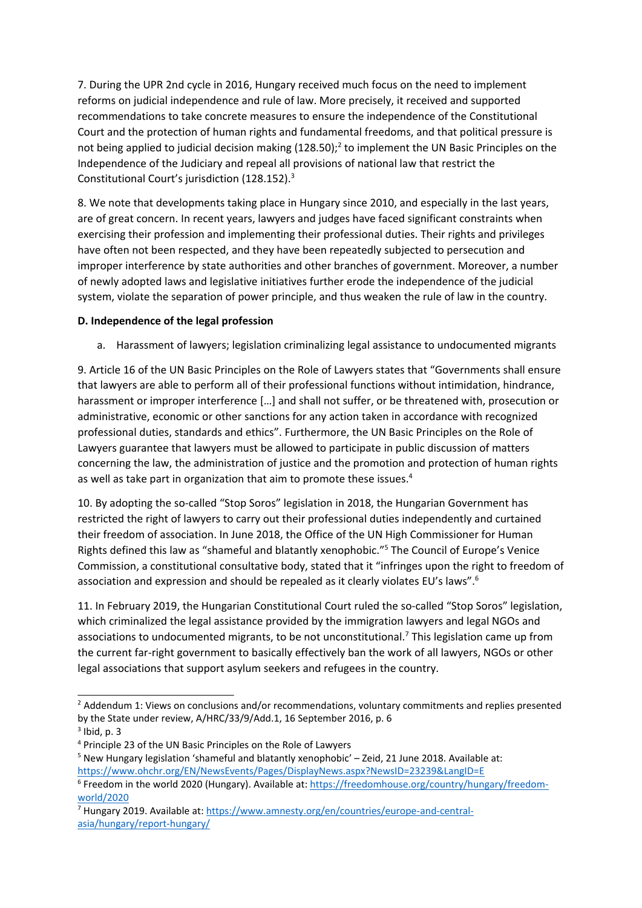7. During the UPR 2nd cycle in 2016, Hungary received much focus on the need to implement reforms on judicial independence and rule of law. More precisely, it received and supported recommendations to take concrete measures to ensure the independence of the Constitutional Court and the protection of human rights and fundamental freedoms, and that political pressure is not being applied to judicial decision making  $(128.50)<sup>2</sup>$  to implement the UN Basic Principles on the Independence of the Judiciary and repeal all provisions of national law that restrict the Constitutional Court'<sup>s</sup> jurisdiction (128.152). 3

8. We note that developments taking place in Hungary since 2010, and especially in the last years, are of great concern. In recent years, lawyers and judges have faced significant constraints when exercising their profession and implementing their professional duties. Their rights and privileges have often not been respected, and they have been repeatedly subjected to persecution and improper interference by state authorities and other branches of government. Moreover, <sup>a</sup> number of newly adopted laws and legislative initiatives further erode the independence of the judicial system, violate the separation of power principle, and thus weaken the rule of law in the country.

## **D. Independence of the legal profession**

a. Harassment of lawyers; legislation criminalizing legal assistance to undocumented migrants

9. Article 16 of the UN Basic Principles on the Role of Lawyers states that "Governments shall ensure that lawyers are able to perform all of their professional functions without intimidation, hindrance, harassment or improper interference [...] and shall not suffer, or be threatened with, prosecution or administrative, economic or other sanctions for any action taken in accordance with recognized professional duties, standards and ethics". Furthermore, the UN Basic Principles on the Role of Lawyers guarantee that lawyers must be allowed to participate in public discussion of matters concerning the law, the administration of justice and the promotion and protection of human rights as well as take part in organization that aim to promote these issues. 4

10. By adopting the so-called "Stop Soros" legislation in 2018, the Hungarian Government has restricted the right of lawyers to carry out their professional duties independently and curtained their freedom of association. In June 2018, the Office of the UN High Commissioner for Human Rights defined this law as "shameful and blatantly xenophobic."<sup>5</sup> The Council of Europe's Venice Commission, <sup>a</sup> constitutional consultative body, stated that it "infringes upon the right to freedom of association and expression and should be repealed as it clearly violates EU's laws".<sup>6</sup>

11. In February 2019, the Hungarian Constitutional Court ruled the so-called "Stop Soros" legislation, which criminalized the legal assistance provided by the immigration lawyers and legal NGOs and associations to undocumented migrants, to be not unconstitutional. 7 This legislation came up from the current far-right government to basically effectively ban the work of all lawyers, NGOs or other legal associations that support asylum seekers and refugees in the country.

<sup>&</sup>lt;sup>2</sup> Addendum 1: Views on conclusions and/or recommendations, voluntary commitments and replies presented by the State under review, A/HRC/33/9/Add.1, 16 September 2016, p. 6

 $3$  Ibid, p. 3

<sup>4</sup> Principle 23 of the UN Basic Principles on the Role of Lawyers

<sup>&</sup>lt;sup>5</sup> New Hungary legislation 'shameful and blatantly xenophobic' - Zeid, 21 June 2018. Available at: <https://www.ohchr.org/EN/NewsEvents/Pages/DisplayNews.aspx?NewsID=23239&LangID=E>

<sup>6</sup> Freedom in the world 2020 (Hungary). Available at: [https://freedomhouse.org/country/hungary/freedom](https://freedomhouse.org/country/hungary/freedom-world/2020)[world/2020](https://freedomhouse.org/country/hungary/freedom-world/2020)

<sup>7</sup> Hungary 2019. Available at: [https://www.amnesty.org/en/countries/europe-and-central](https://www.amnesty.org/en/countries/europe-and-central-asia/hungary/report-hungary/)[asia/hungary/report-hungary/](https://www.amnesty.org/en/countries/europe-and-central-asia/hungary/report-hungary/)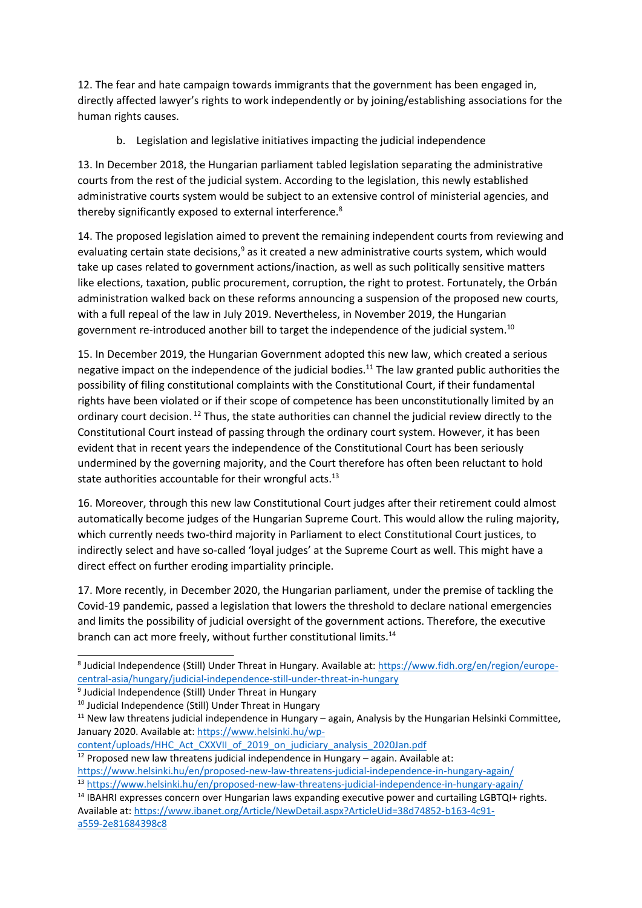12. The fear and hate campaign towards immigrants that the government has been engaged in, directly affected lawyer'<sup>s</sup> rights to work independently or by joining/establishing associations for the human rights causes.

b. Legislation and legislative initiatives impacting the judicial independence

13. In December 2018, the Hungarian parliament tabled legislation separating the administrative courts from the rest of the judicial system. According to the legislation, this newly established administrative courts system would be subject to an extensive control of ministerial agencies, and thereby significantly exposed to external interference. $^{8}$ 

14. The proposed legislation aimed to prevent the remaining independent courts from reviewing and evaluating certain state decisions,<sup>9</sup> as it created a new administrative courts system, which would take up cases related to government actions/inaction, as well as such politically sensitive matters like elections, taxation, public procurement, corruption, the right to protest. Fortunately, the Orbán administration walked back on these reforms announcing <sup>a</sup> suspension of the proposed new courts, with <sup>a</sup> full repeal of the law in July 2019. Nevertheless, in November 2019, the Hungarian government re-introduced another bill to target the independence of the judicial system.<sup>10</sup>

15. In December 2019, the Hungarian Government adopted this new law, which created <sup>a</sup> serious negative impact on the independence of the judicial bodies.<sup>11</sup> The law granted public authorities the possibility of filing constitutional complaints with the Constitutional Court, if their fundamental rights have been violated or if their scope of competence has been unconstitutionally limited by an ordinary court decision. <sup>12</sup> Thus, the state authorities can channel the judicial review directly to the Constitutional Court instead of passing through the ordinary court system. However, it has been evident that in recent years the independence of the Constitutional Court has been seriously undermined by the governing majority, and the Court therefore has often been reluctant to hold state authorities accountable for their wrongful acts.<sup>13</sup>

16. Moreover, through this new law Constitutional Court judges after their retirement could almost automatically become judges of the Hungarian Supreme Court. This would allow the ruling majority, which currently needs two-third majority in Parliament to elect Constitutional Court justices, to indirectly select and have so-called 'loyal judges' at the Supreme Court as well. This might have <sup>a</sup> direct effect on further eroding impartiality principle.

17. More recently, in December 2020, the Hungarian parliament, under the premise of tackling the Covid-19 pandemic, passed <sup>a</sup> legislation that lowers the threshold to declare national emergencies and limits the possibility of judicial oversight of the government actions. Therefore, the executive branch can act more freely, without further constitutional limits.<sup>14</sup>

[content/uploads/HHC\\_Act\\_CXXVII\\_of\\_2019\\_on\\_judiciary\\_analysis\\_2020Jan.pdf](https://www.helsinki.hu/wp-content/uploads/HHC_Act_CXXVII_of_2019_on_judiciary_analysis_2020Jan.pdf)

 $12$  Proposed new law threatens judicial independence in Hungary – again. Available at: <https://www.helsinki.hu/en/proposed-new-law-threatens-judicial-independence-in-hungary-again/>

<sup>&</sup>lt;sup>8</sup> Judicial Independence (Still) Under Threat in Hungary. Available at: [https://www.fidh.org/en/region/europe](https://www.fidh.org/en/region/europe-central-asia/hungary/judicial-independence-still-under-threat-in-hungary)[central-asia/hungary/judicial-independence-still-under-threat-in-hungary](https://www.fidh.org/en/region/europe-central-asia/hungary/judicial-independence-still-under-threat-in-hungary)

<sup>&</sup>lt;sup>9</sup> Judicial Independence (Still) Under Threat in Hungary

<sup>&</sup>lt;sup>10</sup> Judicial Independence (Still) Under Threat in Hungary

<sup>&</sup>lt;sup>11</sup> New law threatens judicial independence in Hungary – again, Analysis by the Hungarian Helsinki Committee, January 2020. Available at: [https://www.helsinki.hu/wp-](https://www.helsinki.hu/wp-content/uploads/HHC_Act_CXXVII_of_2019_on_judiciary_analysis_2020Jan.pdf)

<sup>13</sup> <https://www.helsinki.hu/en/proposed-new-law-threatens-judicial-independence-in-hungary-again/>

<sup>&</sup>lt;sup>14</sup> IBAHRI expresses concern over Hungarian laws expanding executive power and curtailing LGBTQI+ rights. Available at: [https://www.ibanet.org/Article/NewDetail.aspx?ArticleUid=38d74852-b163-4c91](https://www.ibanet.org/Article/NewDetail.aspx?ArticleUid=38d74852-b163-4c91-a559-2e81684398c8) [a559-2e81684398c8](https://www.ibanet.org/Article/NewDetail.aspx?ArticleUid=38d74852-b163-4c91-a559-2e81684398c8)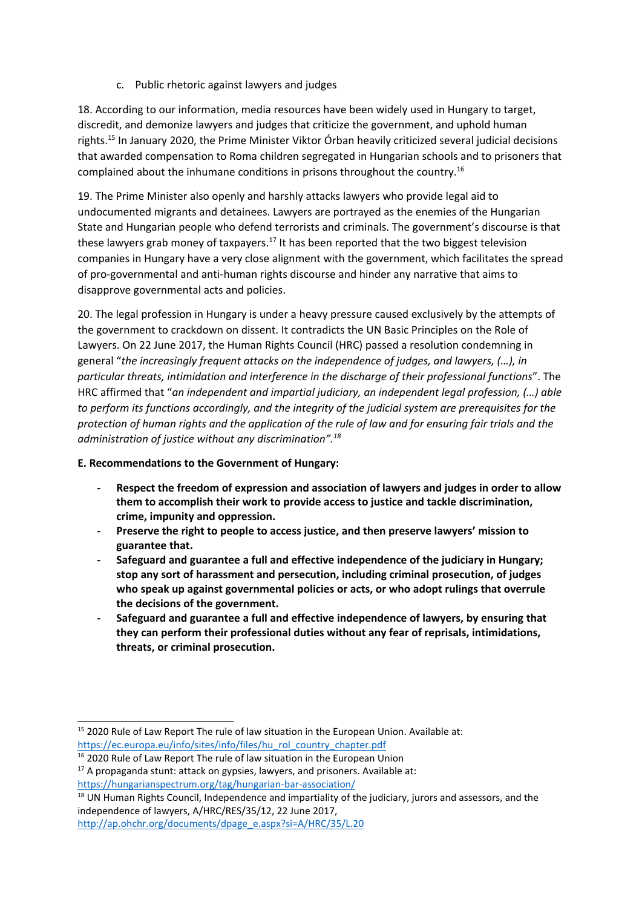c. Public rhetoric against lawyers and judges

18. According to our information, media resources have been widely used in Hungary to target, discredit, and demonize lawyers and judges that criticize the government, and uphold human rights. 15 In January 2020, the Prime Minister Viktor Órban heavily criticized several judicial decisions that awarded compensation to Roma children segregated in Hungarian schools and to prisoners that complained about the inhumane conditions in prisons throughout the country.<sup>16</sup>

19. The Prime Minister also openly and harshly attacks lawyers who provide legal aid to undocumented migrants and detainees. Lawyers are portrayed as the enemies of the Hungarian State and Hungarian people who defend terrorists and criminals. The government'<sup>s</sup> discourse is that these lawyers grab money of taxpayers.<sup>17</sup> It has been reported that the two biggest television companies in Hungary have <sup>a</sup> very close alignment with the government, which facilitates the spread of pro-governmental and anti-human rights discourse and hinder any narrative that aims to disapprove governmental acts and policies.

20. The legal profession in Hungary is under <sup>a</sup> heavy pressure caused exclusively by the attempts of the government to crackdown on dissent. It contradicts the UN Basic Principles on the Role of Lawyers. On 22 June 2017, the Human Rights Council (HRC) passed <sup>a</sup> resolution condemning in general "*the increasingly frequent attacks on the independence of judges, and lawyers, (…), in particular threats, intimidation and interference in the discharge of their professional functions*". The HRC affirmed that "*an independent and impartial judiciary, an independent legal profession, (…) able to perform its functions accordingly, and the integrity of the judicial system are prerequisites for the* protection of human rights and the application of the rule of law and for ensuring fair trials and the *administration of justice without any discrimination". 18*

### **E. Recommendations to the Government of Hungary:**

- **- Respect the freedom of expression and association of lawyers and judges in order to allow them to accomplish their work to provide access to justice and tackle discrimination, crime, impunity and oppression.**
- **Preserve the right to people to access justice, and then preserve lawyers' mission to guarantee that.**
- **- Safeguard and guarantee <sup>a</sup> full and effective independence of the judiciary in Hungary; stop any sort of harassment and persecution, including criminal prosecution, of judges who speak up against governmental policies or acts, or who adopt rulings that overrule the decisions of the government.**
- **- Safeguard and guarantee <sup>a</sup> full and effective independence of lawyers, by ensuring that they can perform their professional duties without any fear of reprisals, intimidations, threats, or criminal prosecution.**

<sup>&</sup>lt;sup>15</sup> 2020 Rule of Law Report The rule of law situation in the European Union. Available at: [https://ec.europa.eu/info/sites/info/files/hu\\_rol\\_country\\_chapter.pdf](https://ec.europa.eu/info/sites/info/files/hu_rol_country_chapter.pdf)

<sup>&</sup>lt;sup>16</sup> 2020 Rule of Law Report The rule of law situation in the European Union

 $17$  A propaganda stunt: attack on gypsies, lawyers, and prisoners. Available at: <https://hungarianspectrum.org/tag/hungarian-bar-association/>

<sup>&</sup>lt;sup>18</sup> UN Human Rights Council, Independence and impartiality of the judiciary, jurors and assessors, and the independence of lawyers, A/HRC/RES/35/12, 22 June 2017, [http://ap.ohchr.org/documents/dpage\\_e.aspx?si=A/HRC/35/L.20](http://ap.ohchr.org/documents/dpage_e.aspx?si=A/HRC/35/L.20)